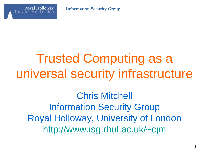

# Trusted Computing as a universal security infrastructure

Chris Mitchell Information Security Group Royal Holloway, University of London <http://www.isg.rhul.ac.uk/~cjm>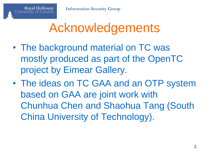## Acknowledgements

- The background material on TC was mostly produced as part of the OpenTC project by Eimear Gallery.
- The ideas on TC GAA and an OTP system based on GAA are joint work with Chunhua Chen and Shaohua Tang (South China University of Technology).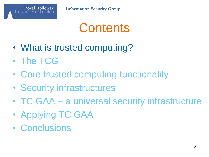

### **Contents**

- What is trusted computing?
- The TCG
- Core trusted computing functionality
- Security infrastructures
- TC GAA a universal security infrastructure
- Applying TC GAA
- Conclusions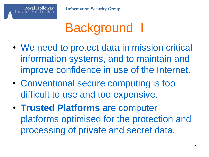# Background I

- We need to protect data in mission critical information systems, and to maintain and improve confidence in use of the Internet.
- Conventional secure computing is too difficult to use and too expensive.
- **Trusted Platforms** are computer platforms optimised for the protection and processing of private and secret data.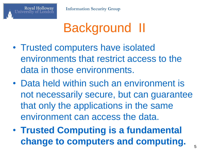

# Background II

- Trusted computers have isolated environments that restrict access to the data in those environments.
- Data held within such an environment is not necessarily secure, but can guarantee that only the applications in the same environment can access the data.
- **Trusted Computing is a fundamental change to computers and computing.**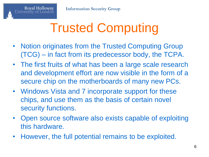# Trusted Computing

- Notion originates from the Trusted Computing Group (TCG) – in fact from its predecessor body, the TCPA.
- The first fruits of what has been a large scale research and development effort are now visible in the form of a secure chip on the motherboards of many new PCs.
- Windows Vista and 7 incorporate support for these chips, and use them as the basis of certain novel security functions.
- Open source software also exists capable of exploiting this hardware.
- However, the full potential remains to be exploited.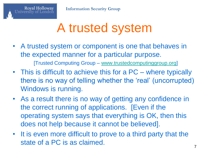# A trusted system

- A trusted system or component is one that behaves in the expected manner for a particular purpose. [Trusted Computing Group – [www.trustedcomputinggroup.org\]](http://www.trustedcomputinggroup.org/)
- This is difficult to achieve this for a PC where typically there is no way of telling whether the 'real' (uncorrupted) Windows is running.
- As a result there is no way of getting any confidence in the correct running of applications. [Even if the operating system says that everything is OK, then this does not help because it cannot be believed].
- It is even more difficult to prove to a third party that the state of a PC is as claimed.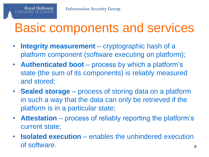## Basic components and services

- **Integrity measurement** cryptographic hash of a platform component (software executing on platform);
- **Authenticated boot**  process by which a platform's state (the sum of its components) is reliably measured and stored;
- **Sealed storage**  process of storing data on a platform in such a way that the data can only be retrieved if the platform is in a particular state;
- **Attestation** process of reliably reporting the platform's current state;
- **Isolated execution**  enables the unhindered execution of software.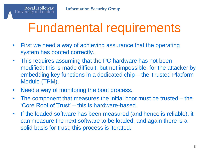## Fundamental requirements

- First we need a way of achieving assurance that the operating system has booted correctly.
- This requires assuming that the PC hardware has not been modified; this is made difficult, but not impossible, for the attacker by embedding key functions in a dedicated chip – the Trusted Platform Module (TPM).
- Need a way of monitoring the boot process.

**Royal Holloway** 

- The component that measures the initial boot must be trusted the 'Core Root of Trust' – this is hardware-based.
- If the loaded software has been measured (and hence is reliable), it can measure the next software to be loaded, and again there is a solid basis for trust; this process is iterated.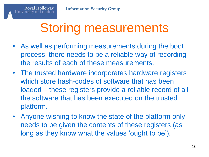### Storing measurements

- As well as performing measurements during the boot process, there needs to be a reliable way of recording the results of each of these measurements.
- The trusted hardware incorporates hardware registers which store hash-codes of software that has been loaded – these registers provide a reliable record of all the software that has been executed on the trusted platform.
- Anyone wishing to know the state of the platform only needs to be given the contents of these registers (as long as they know what the values 'ought to be').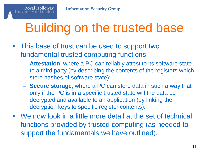# Building on the trusted base

- This base of trust can be used to support two fundamental trusted computing functions:
	- **Attestation**, where a PC can reliably attest to its software state to a third party (by describing the contents of the registers which store hashes of software state);
	- **Secure storage**, where a PC can store data in such a way that only if the PC is in a specific trusted state will the data be decrypted and available to an application (by linking the decryption keys to specific register contents).
- We now look in a little more detail at the set of technical functions provided by trusted computing (as needed to support the fundamentals we have outlined).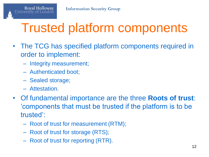# Trusted platform components

- The TCG has specified platform components required in order to implement:
	- Integrity measurement;
	- Authenticated boot;
	- Sealed storage;
	- Attestation.

**Royal Holloway** 

- Of fundamental importance are the three **Roots of trust**: 'components that must be trusted if the platform is to be trusted':
	- Root of trust for measurement (RTM);
	- Root of trust for storage (RTS);
	- Root of trust for reporting (RTR).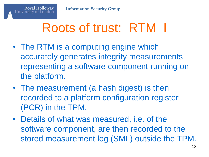# Roots of trust: RTM I

- The RTM is a computing engine which accurately generates integrity measurements representing a software component running on the platform.
- The measurement (a hash digest) is then recorded to a platform configuration register (PCR) in the TPM.
- Details of what was measured, i.e. of the software component, are then recorded to the stored measurement log (SML) outside the TPM.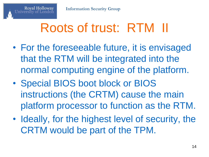# Roots of trust: RTM II

- For the foreseeable future, it is envisaged that the RTM will be integrated into the normal computing engine of the platform.
- Special BIOS boot block or BIOS instructions (the CRTM) cause the main platform processor to function as the RTM.
- Ideally, for the highest level of security, the CRTM would be part of the TPM.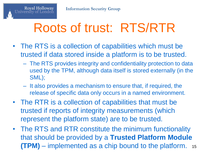## Roots of trust: RTS/RTR

- The RTS is a collection of capabilities which must be trusted if data stored inside a platform is to be trusted.
	- The RTS provides integrity and confidentiality protection to data used by the TPM, although data itself is stored externally (in the SML);
	- It also provides a mechanism to ensure that, if required, the release of specific data only occurs in a named environment.
- The RTR is a collection of capabilities that must be trusted if reports of integrity measurements (which represent the platform state) are to be trusted.
- The RTS and RTR constitute the minimum functionality that should be provided by a **Trusted Platform Module (TPM)** – implemented as a chip bound to the platform. <sup>15</sup>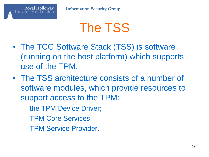### The TSS

- The TCG Software Stack (TSS) is software (running on the host platform) which supports use of the TPM.
- The TSS architecture consists of a number of software modules, which provide resources to support access to the TPM:
	- the TPM Device Driver;
	- TPM Core Services;

Royal Holloway

– TPM Service Provider.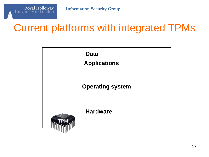

#### Current platforms with integrated TPMs

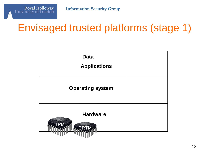

#### Envisaged trusted platforms (stage 1)

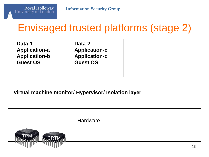

#### Envisaged trusted platforms (stage 2)

| Data-1<br><b>Application-a</b><br><b>Application-b</b><br><b>Guest OS</b> | Data-2<br><b>Application-c</b><br><b>Application-d</b><br><b>Guest OS</b> |  |  |  |
|---------------------------------------------------------------------------|---------------------------------------------------------------------------|--|--|--|
| Virtual machine monitor/ Hypervisor/ Isolation layer                      |                                                                           |  |  |  |

**Hardware** 

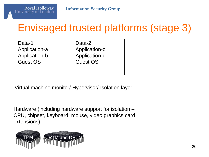

#### Envisaged trusted platforms (stage 3)

| Data-1<br>Application-a<br>Application-b<br><b>Guest OS</b> | Data-2<br>Application-c<br>Application-d<br><b>Guest OS</b> |  |
|-------------------------------------------------------------|-------------------------------------------------------------|--|
|                                                             |                                                             |  |

Virtual machine monitor/ Hypervisor/ Isolation layer

Hardware (including hardware support for isolation – CPU, chipset, keyboard, mouse, video graphics card extensions)

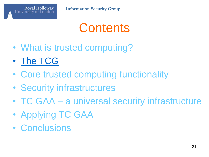

### **Contents**

- What is trusted computing?
- The TCG
- Core trusted computing functionality
- Security infrastructures
- TC GAA a universal security infrastructure
- Applying TC GAA
- Conclusions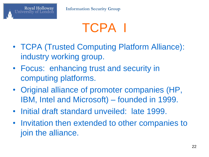# TCPA I

- TCPA (Trusted Computing Platform Alliance): industry working group.
- Focus: enhancing trust and security in computing platforms.
- Original alliance of promoter companies (HP, IBM, Intel and Microsoft) – founded in 1999.
- Initial draft standard unveiled: late 1999.
- Invitation then extended to other companies to join the alliance.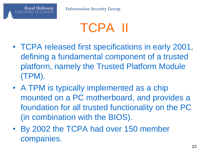# TCPA II

- TCPA released first specifications in early 2001, defining a fundamental component of a trusted platform, namely the Trusted Platform Module (TPM).
- A TPM is typically implemented as a chip mounted on a PC motherboard, and provides a foundation for all trusted functionality on the PC (in combination with the BIOS).
- By 2002 the TCPA had over 150 member companies.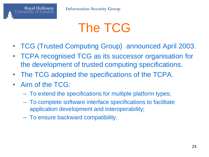### The TCG

- TCG (Trusted Computing Group) announced April 2003.
- TCPA recognised TCG as its successor organisation for the development of trusted computing specifications.
- The TCG adopted the specifications of the TCPA.
- Aim of the TCG:

Royal Holloway

- To extend the specifications for multiple platform types;
- To complete software interface specifications to facilitate application development and interoperability;
- To ensure backward compatibility.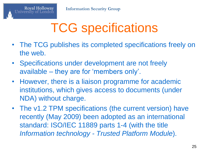# TCG specifications

- The TCG publishes its completed specifications freely on the web.
- Specifications under development are not freely available – they are for 'members only'.
- However, there is a liaison programme for academic institutions, which gives access to documents (under NDA) without charge.
- The v1.2 TPM specifications (the current version) have recently (May 2009) been adopted as an international standard: ISO/IEC 11889 parts 1-4 (with the title *Information technology - Trusted Platform Module*).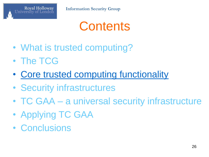

### **Contents**

- What is trusted computing?
- The TCG
- Core trusted computing functionality
- Security infrastructures
- TC GAA a universal security infrastructure
- Applying TC GAA
- Conclusions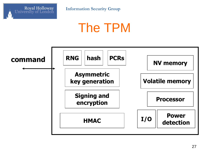

**Information Security Group**

### The TPM

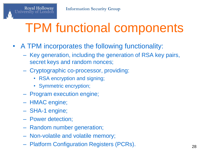# TPM functional components

- A TPM incorporates the following functionality:
	- Key generation, including the generation of RSA key pairs, secret keys and random nonces;
	- Cryptographic co-processor, providing:
		- RSA encryption and signing;
		- Symmetric encryption;
	- Program execution engine;
	- HMAC engine;

Royal Holloway

- SHA-1 engine;
- Power detection;
- Random number generation;
- Non-volatile and volatile memory;
- Platform Configuration Registers (PCRs). 28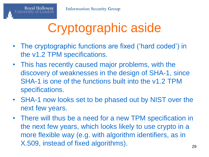# Cryptographic aside

- The cryptographic functions are fixed ('hard coded') in the v1.2 TPM specifications.
- This has recently caused major problems, with the discovery of weaknesses in the design of SHA-1, since SHA-1 is one of the functions built into the v1.2 TPM specifications.
- SHA-1 now looks set to be phased out by NIST over the next few years.
- There will thus be a need for a new TPM specification in the next few years, which looks likely to use crypto in a more flexible way (e.g. with algorithm identifiers, as in X.509, instead of fixed algorithms).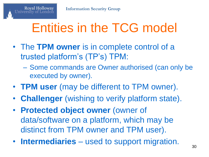# Entities in the TCG model

- The **TPM owner** is in complete control of a trusted platform's (TP's) TPM:
	- Some commands are Owner authorised (can only be executed by owner).
- **TPM user** (may be different to TPM owner).
- **Challenger** (wishing to verify platform state).
- **Protected object owner** (owner of data/software on a platform, which may be distinct from TPM owner and TPM user).
- **Intermediaries** used to support migration.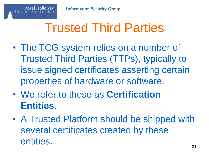# Trusted Third Parties

- The TCG system relies on a number of Trusted Third Parties (TTPs), typically to issue signed certificates asserting certain properties of hardware or software.
- We refer to these as **Certification Entities**.
- A Trusted Platform should be shipped with several certificates created by these entities.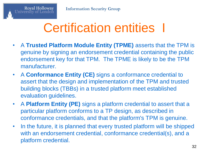# Certification entities I

- A **Trusted Platform Module Entity (TPME)** asserts that the TPM is genuine by signing an endorsement credential containing the public endorsement key for that TPM. The TPME is likely to be the TPM manufacturer.
- A **Conformance Entity (CE)** signs a conformance credential to assert that the design and implementation of the TPM and trusted building blocks (TBBs) in a trusted platform meet established evaluation guidelines.
- A **Platform Entity (PE)** signs a platform credential to assert that a particular platform conforms to a TP design, as described in conformance credentials, and that the platform's TPM is genuine.
- In the future, it is planned that every trusted platform will be shipped with an endorsement credential, conformance credential(s), and a platform credential.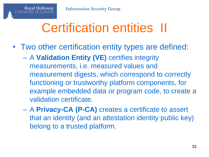# Certification entities II

- Two other certification entity types are defined:
	- A **Validation Entity (VE)** certifies integrity measurements, i.e. measured values and measurement digests, which correspond to correctly functioning or trustworthy platform components, for example embedded data or program code, to create a validation certificate.
	- A **Privacy-CA (P-CA)** creates a certificate to assert that an identity (and an attestation identity public key) belong to a trusted platform.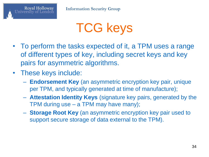

### TCG keys

- To perform the tasks expected of it, a TPM uses a range of different types of key, including secret keys and key pairs for asymmetric algorithms.
- These keys include:

Royal Holloway

- **Endorsement Key** (an asymmetric encryption key pair, unique per TPM, and typically generated at time of manufacture);
- **Attestation Identity Keys** (signature key pairs, generated by the TPM during use – a TPM may have many);
- **Storage Root Key** (an asymmetric encryption key pair used to support secure storage of data external to the TPM).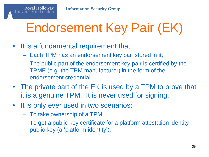# Endorsement Key Pair (EK)

• It is a fundamental requirement that:

Royal Holloway

- Each TPM has an endorsement key pair stored in it;
- The public part of the endorsement key pair is certified by the TPME (e.g. the TPM manufacturer) in the form of the endorsement credential.
- The private part of the EK is used by a TPM to prove that it is a genuine TPM. It is never used for signing.
- It is only ever used in two scenarios:
	- To take ownership of a TPM;
	- To get a public key certificate for a platform attestation identity public key (a 'platform identity').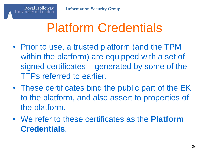# Platform Credentials

- Prior to use, a trusted platform (and the TPM within the platform) are equipped with a set of signed certificates – generated by some of the TTPs referred to earlier.
- These certificates bind the public part of the EK to the platform, and also assert to properties of the platform.
- We refer to these certificates as the **Platform Credentials**.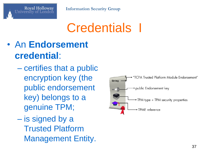

# Credentials I

#### • An **Endorsement credential**:

- certifies that a public encryption key (the public endorsement key) belongs to a genuine TPM;
- is signed by a Trusted Platform Management Entity.

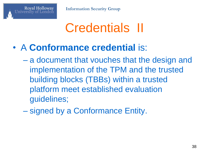**Information Security Group**

### Credentials II

• A **Conformance credential** is:

- a document that vouches that the design and implementation of the TPM and the trusted building blocks (TBBs) within a trusted platform meet established evaluation guidelines;
- signed by a Conformance Entity.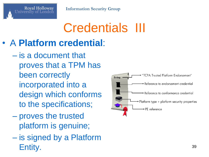# Credentials III

#### • A **Platform credential**:

- is a document that proves that a TPM has been correctly incorporated into a design which conforms to the specifications;
- proves the trusted platform is genuine;
- is signed by a Platform Entity. <sup>39</sup>

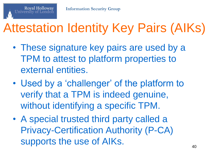# Attestation Identity Key Pairs (AIKs)

- These signature key pairs are used by a TPM to attest to platform properties to external entities.
- Used by a 'challenger' of the platform to verify that a TPM is indeed genuine, without identifying a specific TPM.
- A special trusted third party called a Privacy-Certification Authority (P-CA) supports the use of AIKs.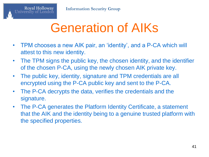### Generation of AIKs

- TPM chooses a new AIK pair, an 'identity', and a P-CA which will attest to this new identity.
- The TPM signs the public key, the chosen identity, and the identifier of the chosen P-CA, using the newly chosen AIK private key.
- The public key, identity, signature and TPM credentials are all encrypted using the P-CA public key and sent to the P-CA.
- The P-CA decrypts the data, verifies the credentials and the signature.
- The P-CA generates the Platform Identity Certificate, a statement that the AIK and the identity being to a genuine trusted platform with the specified properties.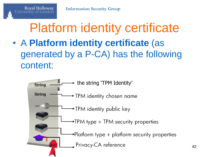#### Platform identity certificate • A **Platform identity certificate** (as generated by a P-CA) has the following content:

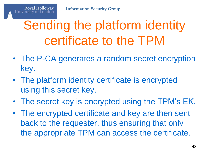# Sending the platform identity certificate to the TPM

- The P-CA generates a random secret encryption key.
- The platform identity certificate is encrypted using this secret key.
- The secret key is encrypted using the TPM's EK.
- The encrypted certificate and key are then sent back to the requester, thus ensuring that only the appropriate TPM can access the certificate.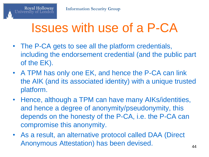#### Issues with use of a P-CA

- The P-CA gets to see all the platform credentials, including the endorsement credential (and the public part of the EK).
- A TPM has only one EK, and hence the P-CA can link the AIK (and its associated identity) with a unique trusted platform.
- Hence, although a TPM can have many AIKs/identities, and hence a degree of anonymity/pseudonymity, this depends on the honesty of the P-CA, i.e. the P-CA can compromise this anonymity.
- As a result, an alternative protocol called DAA (Direct Anonymous Attestation) has been devised.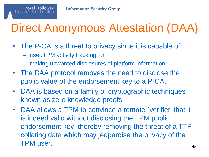

#### Direct Anonymous Attestation (DAA)

- The P-CA is a threat to privacy since it is capable of:
	- user/TPM activity tracking; or

- making unwanted disclosures of platform information.
- The DAA protocol removes the need to disclose the public value of the endorsement key to a P-CA.
- DAA is based on a family of cryptographic techniques known as zero knowledge proofs.
- DAA allows a TPM to convince a remote `verifier' that it is indeed valid without disclosing the TPM public endorsement key, thereby removing the threat of a TTP collating data which may jeopardise the privacy of the TPM user. 45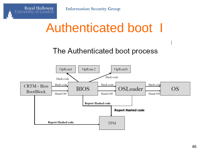**Information Security Group**

Royal Holloway<br>University of London

#### Authenticated boot I

#### The Authenticated boot process

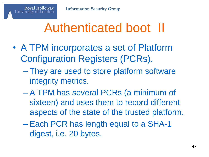#### Authenticated boot II

- A TPM incorporates a set of Platform Configuration Registers (PCRs).
	- They are used to store platform software integrity metrics.
	- A TPM has several PCRs (a minimum of sixteen) and uses them to record different aspects of the state of the trusted platform.
	- Each PCR has length equal to a SHA-1 digest, i.e. 20 bytes.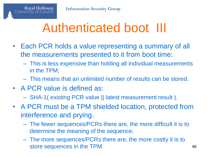#### Authenticated boot III

- Each PCR holds a value representing a summary of all the measurements presented to it from boot time:
	- This is less expensive than holding all individual measurements in the TPM;
	- This means that an unlimited number of results can be stored.
- A PCR value is defined as:

- SHA-1( existing PCR value || latest measurement result ).
- A PCR must be a TPM shielded location, protected from interference and prying.
	- The fewer sequences/PCRs there are, the more difficult it is to determine the meaning of the sequence;
	- The more sequences/PCRs there are, the more costly it is to store sequences in the TPM. 48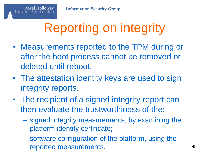# Reporting on integrity

- Measurements reported to the TPM during or after the boot process cannot be removed or deleted until reboot.
- The attestation identity keys are used to sign integrity reports.
- The recipient of a signed integrity report can then evaluate the trustworthiness of the:
	- signed integrity measurements, by examining the platform identity certificate;
	- software configuration of the platform, using the reported measurements. 49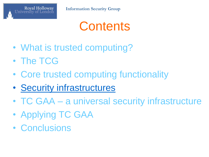

#### **Contents**

- What is trusted computing?
- The TCG
- Core trusted computing functionality
- Security infrastructures
- TC GAA a universal security infrastructure
- Applying TC GAA
- Conclusions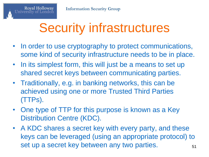# Security infrastructures

- In order to use cryptography to protect communications, some kind of security infrastructure needs to be in place.
- In its simplest form, this will just be a means to set up shared secret keys between communicating parties.
- Traditionally, e.g. in banking networks, this can be achieved using one or more Trusted Third Parties (TTPs).
- One type of TTP for this purpose is known as a Key Distribution Centre (KDC).
- A KDC shares a secret key with every party, and these keys can be leveraged (using an appropriate protocol) to set up a secret key between any two parties.  $151$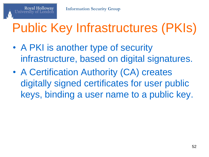# Public Key Infrastructures (PKIs)

- A PKI is another type of security infrastructure, based on digital signatures.
- A Certification Authority (CA) creates digitally signed certificates for user public keys, binding a user name to a public key.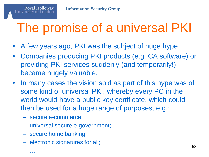# The promise of a universal PKI

- A few years ago, PKI was the subject of huge hype.
- Companies producing PKI products (e.g. CA software) or providing PKI services suddenly (and temporarily!) became hugely valuable.
- In many cases the vision sold as part of this hype was of some kind of universal PKI, whereby every PC in the world would have a public key certificate, which could then be used for a huge range of purposes, e.g.:
	- secure e-commerce;

- universal secure e-government;
- secure home banking;
- electronic signatures for all;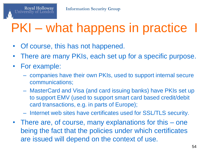# PKI – what happens in practice I

- Of course, this has not happened.
- There are many PKIs, each set up for a specific purpose.
- For example:

- companies have their own PKIs, used to support internal secure communications;
- MasterCard and Visa (and card issuing banks) have PKIs set up to support EMV (used to support smart card based credit/debit card transactions, e.g. in parts of Europe);
- Internet web sites have certificates used for SSL/TLS security.
- There are, of course, many explanations for this one being the fact that the policies under which certificates are issued will depend on the context of use.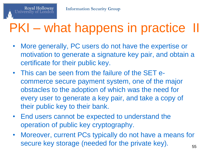# PKI – what happens in practice II

- More generally, PC users do not have the expertise or motivation to generate a signature key pair, and obtain a certificate for their public key.
- This can be seen from the failure of the SET ecommerce secure payment system, one of the major obstacles to the adoption of which was the need for every user to generate a key pair, and take a copy of their public key to their bank.
- End users cannot be expected to understand the operation of public key cryptography.
- Moreover, current PCs typically do not have a means for secure key storage (needed for the private key).  $_{55}$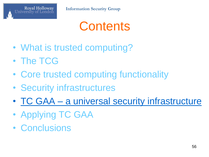

#### **Contents**

- What is trusted computing?
- The TCG
- Core trusted computing functionality
- Security infrastructures
- TC GAA a universal security infrastructure
- Applying TC GAA
- Conclusions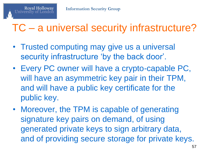#### TC – a universal security infrastructure?

- Trusted computing may give us a universal security infrastructure 'by the back door'.
- Every PC owner will have a crypto-capable PC, will have an asymmetric key pair in their TPM, and will have a public key certificate for the public key.
- Moreover, the TPM is capable of generating signature key pairs on demand, of using generated private keys to sign arbitrary data, and of providing secure storage for private keys.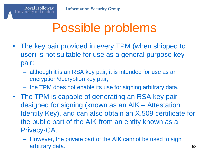## Possible problems

- The key pair provided in every TPM (when shipped to user) is not suitable for use as a general purpose key pair:
	- although it is an RSA key pair, it is intended for use as an encryption/decryption key pair;
	- the TPM does not enable its use for signing arbitrary data.
- The TPM is capable of generating an RSA key pair designed for signing (known as an AIK – Attestation Identity Key), and can also obtain an X.509 certificate for the public part of the AIK from an entity known as a Privacy-CA.
	- However, the private part of the AIK cannot be used to sign arbitrary data. 58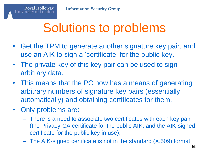### Solutions to problems

- Get the TPM to generate another signature key pair, and use an AIK to sign a 'certificate' for the public key.
- The private key of this key pair can be used to sign arbitrary data.
- This means that the PC now has a means of generating arbitrary numbers of signature key pairs (essentially automatically) and obtaining certificates for them.
- Only problems are:

- There is a need to associate two certificates with each key pair (the Privacy-CA certificate for the public AIK, and the AIK-signed certificate for the public key in use);
- The AIK-signed certificate is not in the standard (X.509) format.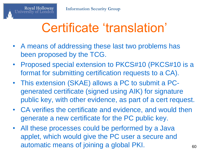## Certificate 'translation'

- A means of addressing these last two problems has been proposed by the TCG.
- Proposed special extension to PKCS#10 (PKCS#10 is a format for submitting certification requests to a CA).
- This extension (SKAE) allows a PC to submit a PCgenerated certificate (signed using AIK) for signature public key, with other evidence, as part of a cert request.
- CA verifies the certificate and evidence, and would then generate a new certificate for the PC public key.
- All these processes could be performed by a Java applet, which would give the PC user a secure and automatic means of joining a global PKI.  $_{60}$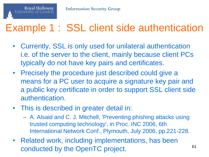

#### Example 1 : SSL client side authentication

- Currently, SSL is only used for unilateral authentication i.e. of the server to the client, mainly because client PCs typically do not have key pairs and certificates.
- Precisely the procedure just described could give a means for a PC user to acquire a signature key pair and a public key certificate in order to support SSL client side authentication.
- This is described in greater detail in:
	- A. Alsaid and C. J. Mitchell, 'Preventing phishing attacks using trusted computing technology', in Proc. INC 2006, 6th International Network Conf., Plymouth, July 2006, pp.221-228.
- Related work, including implementations, has been conducted by the OpenTC project. 61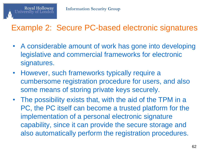

#### Example 2: Secure PC-based electronic signatures

- A considerable amount of work has gone into developing legislative and commercial frameworks for electronic signatures.
- However, such frameworks typically require a cumbersome registration procedure for users, and also some means of storing private keys securely.
- The possibility exists that, with the aid of the TPM in a PC, the PC itself can become a trusted platform for the implementation of a personal electronic signature capability, since it can provide the secure storage and also automatically perform the registration procedures.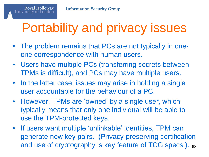# Portability and privacy issues

- The problem remains that PCs are not typically in oneone correspondence with human users.
- Users have multiple PCs (transferring secrets between TPMs is difficult), and PCs may have multiple users.
- In the latter case. issues may arise in holding a single user accountable for the behaviour of a PC.
- However, TPMs are 'owned' by a single user, which typically means that only one individual will be able to use the TPM-protected keys.
- If users want multiple 'unlinkable' identities, TPM can generate new key pairs. (Privacy-preserving certification and use of cryptography is key feature of TCG specs.). 63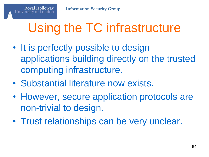# Using the TC infrastructure

- It is perfectly possible to design applications building directly on the trusted computing infrastructure.
- Substantial literature now exists.
- However, secure application protocols are non-trivial to design.
- Trust relationships can be very unclear.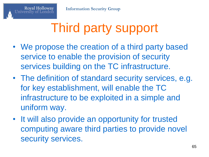# Third party support

- We propose the creation of a third party based service to enable the provision of security services building on the TC infrastructure.
- The definition of standard security services, e.g. for key establishment, will enable the TC infrastructure to be exploited in a simple and uniform way.
- It will also provide an opportunity for trusted computing aware third parties to provide novel security services.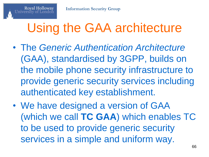# Using the GAA architecture

- The *Generic Authentication Architecture* (GAA), standardised by 3GPP, builds on the mobile phone security infrastructure to provide generic security services including authenticated key establishment.
- We have designed a version of GAA (which we call **TC GAA**) which enables TC to be used to provide generic security services in a simple and uniform way.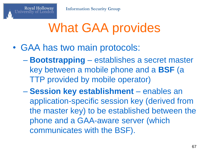# What GAA provides

• GAA has two main protocols:

- **Bootstrapping** establishes a secret master key between a mobile phone and a **BSF** (a TTP provided by mobile operator)
- **Session key establishment** enables an application-specific session key (derived from the master key) to be established between the phone and a GAA-aware server (which communicates with the BSF).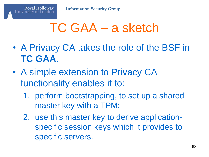#### TC GAA – a sketch

- A Privacy CA takes the role of the BSF in **TC GAA**.
- A simple extension to Privacy CA functionality enables it to:
	- 1. perform bootstrapping, to set up a shared master key with a TPM;
	- 2. use this master key to derive applicationspecific session keys which it provides to specific servers.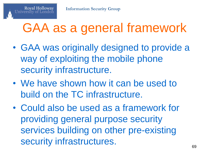#### GAA as a general framework

- GAA was originally designed to provide a way of exploiting the mobile phone security infrastructure.
- We have shown how it can be used to build on the TC infrastructure.
- Could also be used as a framework for providing general purpose security services building on other pre-existing security infrastructures.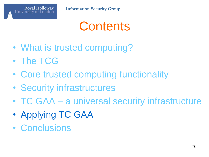

#### **Contents**

- What is trusted computing?
- The TCG
- Core trusted computing functionality
- Security infrastructures
- TC GAA a universal security infrastructure
- Applying TC GAA
- Conclusions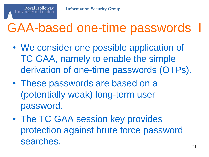#### GAA-based one-time passwords

- We consider one possible application of TC GAA, namely to enable the simple derivation of one-time passwords (OTPs).
- These passwords are based on a (potentially weak) long-term user password.
- The TC GAA session key provides protection against brute force password searches.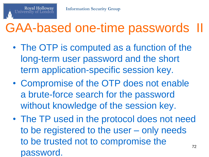#### GAA-based one-time passwords II

- The OTP is computed as a function of the long-term user password and the short term application-specific session key.
- Compromise of the OTP does not enable a brute-force search for the password without knowledge of the session key.
- The TP used in the protocol does not need to be registered to the user – only needs to be trusted not to compromise the password. 72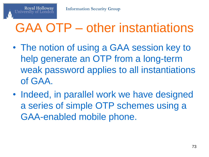**Royal Holloway** 

## GAA OTP – other instantiations

- The notion of using a GAA session key to help generate an OTP from a long-term weak password applies to all instantiations of GAA.
- Indeed, in parallel work we have designed a series of simple OTP schemes using a GAA-enabled mobile phone.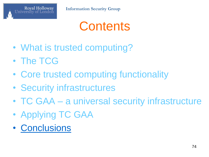

## **Contents**

- What is trusted computing?
- The TCG
- Core trusted computing functionality
- Security infrastructures
- TC GAA a universal security infrastructure
- Applying TC GAA
- Conclusions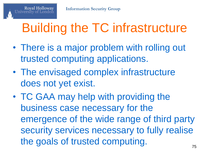**Royal Holloway** 

## Building the TC infrastructure

- There is a major problem with rolling out trusted computing applications.
- The envisaged complex infrastructure does not yet exist.
- TC GAA may help with providing the business case necessary for the emergence of the wide range of third party security services necessary to fully realise the goals of trusted computing.